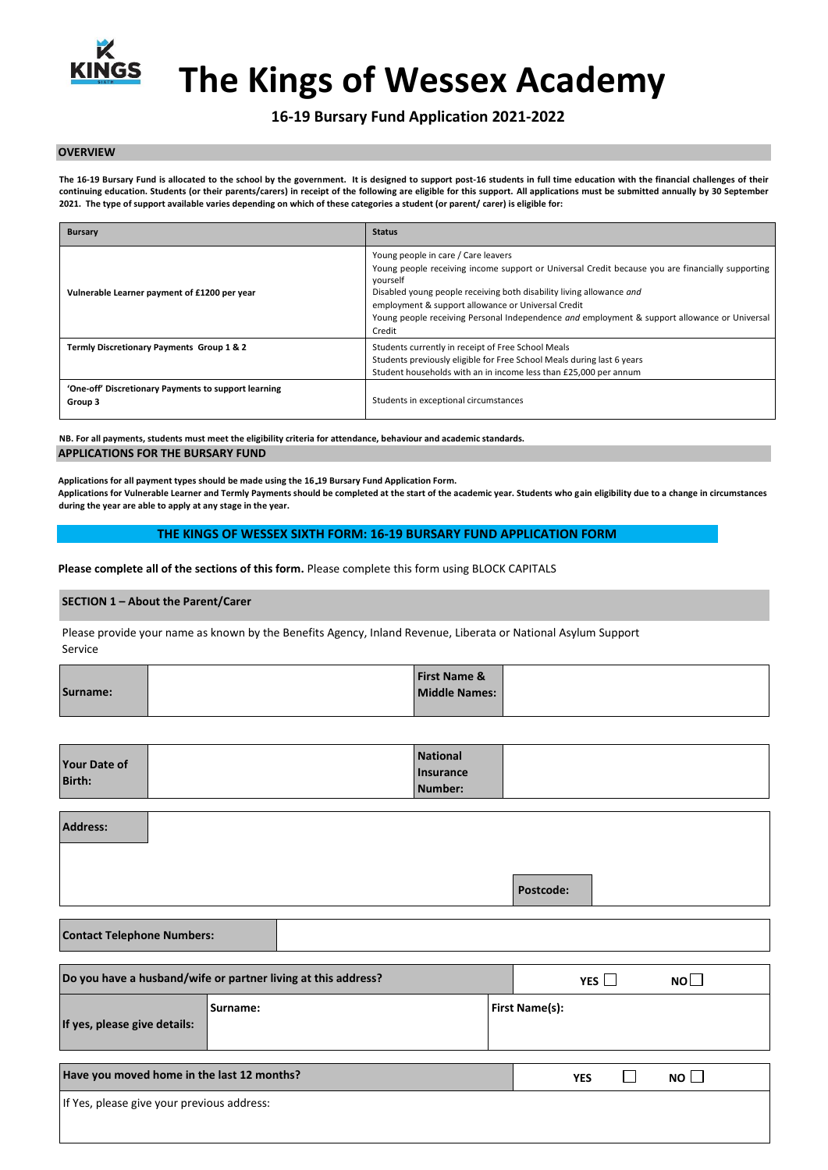

# **The Kings of Wessex Academy**

# **16-19 Bursary Fund Application 2021-2022**

#### **OVERVIEW**

The 16-19 Bursary Fund is allocated to the school by the government. It is designed to support post-16 students in full time education with the financial challenges of their **continuing education. Students (or their parents/carers) in receipt of the following are eligible for this support. All applications must be submitted annually by 30 September 2021. The type of support available varies depending on which of these categories a student (or parent/ carer) is eligible for:** 

| <b>Bursary</b>                                                  | <b>Status</b>                                                                                                                                                                                                                                                                                                                                                                               |
|-----------------------------------------------------------------|---------------------------------------------------------------------------------------------------------------------------------------------------------------------------------------------------------------------------------------------------------------------------------------------------------------------------------------------------------------------------------------------|
| Vulnerable Learner payment of £1200 per year                    | Young people in care / Care leavers<br>Young people receiving income support or Universal Credit because you are financially supporting<br>yourself<br>Disabled young people receiving both disability living allowance and<br>employment & support allowance or Universal Credit<br>Young people receiving Personal Independence and employment & support allowance or Universal<br>Credit |
| Termly Discretionary Payments Group 1 & 2                       | Students currently in receipt of Free School Meals<br>Students previously eligible for Free School Meals during last 6 years<br>Student households with an in income less than £25,000 per annum                                                                                                                                                                                            |
| 'One-off' Discretionary Payments to support learning<br>Group 3 | Students in exceptional circumstances                                                                                                                                                                                                                                                                                                                                                       |

**NB. For all payments, students must meet the eligibility criteria for attendance, behaviour and academic standards. APPLICATIONS FOR THE BURSARY FUND** 

**Applications for all payment types should be made using the 16 19 Bursary Fund Application Form. Applications for Vulnerable Learner and Termly Payments should be completed at the start of the academic year. Students who gain eligibility due to a change in circumstances during the year are able to apply at any stage in the year.** 

#### **THE KINGS OF WESSEX SIXTH FORM: 16-19 BURSARY FUND APPLICATION FORM**

**Please complete all of the sections of this form.** Please complete this form using BLOCK CAPITALS

## **SECTION 1 – About the Parent/Carer**

Please provide your name as known by the Benefits Agency, Inland Revenue, Liberata or National Asylum Support Service

|          | <b>First Name &amp;</b> |  |
|----------|-------------------------|--|
| Surname: | <b>Middle Names:</b>    |  |
|          |                         |  |

| <b>Your Date of</b><br><b>Birth:</b> | <b>National</b>  |  |
|--------------------------------------|------------------|--|
|                                      | <b>Insurance</b> |  |
|                                      | Number:          |  |

| <b>Address:</b>                            |                                                               |                                  |
|--------------------------------------------|---------------------------------------------------------------|----------------------------------|
|                                            |                                                               | Postcode:                        |
| <b>Contact Telephone Numbers:</b>          |                                                               |                                  |
|                                            | Do you have a husband/wife or partner living at this address? | $N$ O $\square$<br>YES $\Box$    |
| If yes, please give details:               | Surname:                                                      | <b>First Name(s):</b>            |
| Have you moved home in the last 12 months? |                                                               | NO<br>$\mathbf{I}$<br><b>YES</b> |
| If Yes, please give your previous address: |                                                               |                                  |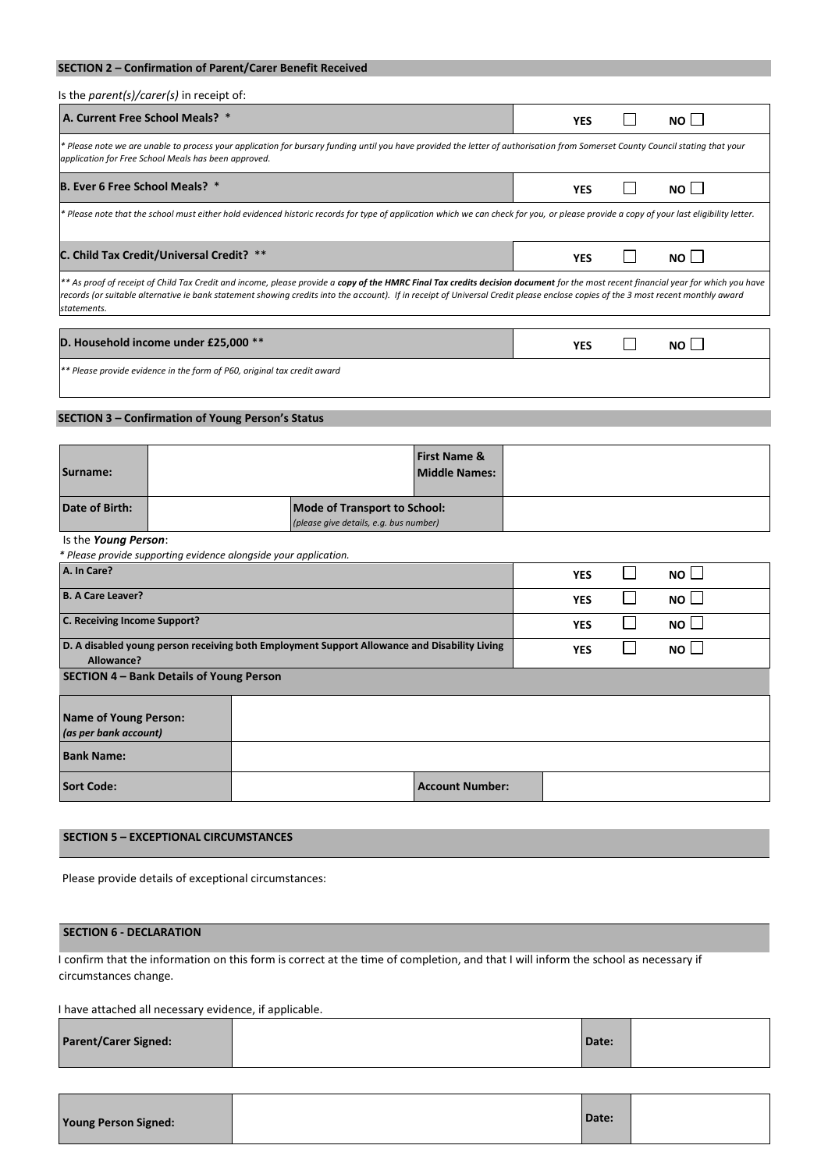# **SECTION 2 – Confirmation of Parent/Carer Benefit Received**

## Is the *parent(s)/carer(s)* in receipt of:

| A. Current Free School Meals? *                                                                                                                                                                                                                                                                                                                                                       | YES        |  | $NO$                 |
|---------------------------------------------------------------------------------------------------------------------------------------------------------------------------------------------------------------------------------------------------------------------------------------------------------------------------------------------------------------------------------------|------------|--|----------------------|
| * Please note we are unable to process your application for bursary funding until you have provided the letter of authorisation from Somerset County Council stating that your<br>application for Free School Meals has been approved.                                                                                                                                                |            |  |                      |
| <b>B. Ever 6 Free School Meals?</b> *                                                                                                                                                                                                                                                                                                                                                 | YES        |  | NO II                |
| * Please note that the school must either hold evidenced historic records for type of application which we can check for you, or please provide a copy of your last eligibility letter.                                                                                                                                                                                               |            |  |                      |
| C. Child Tax Credit/Universal Credit? **                                                                                                                                                                                                                                                                                                                                              | <b>YES</b> |  | $NO$ $\vert$ $\vert$ |
| ** As proof of receipt of Child Tax Credit and income, please provide a copy of the HMRC Final Tax credits decision document for the most recent financial year for which you have<br>records (or suitable alternative ie bank statement showing credits into the account). If in receipt of Universal Credit please enclose copies of the 3 most recent monthly award<br>statements. |            |  |                      |
| D. Household income under £25,000 **                                                                                                                                                                                                                                                                                                                                                  |            |  |                      |
|                                                                                                                                                                                                                                                                                                                                                                                       |            |  |                      |

*\*\* Please provide evidence in the form of P60, original tax credit award* 

# **SECTION 3 – Confirmation of Young Person's Status**

| Surname:       |                                                                               | <b>First Name &amp;</b><br><b>Middle Names:</b> |  |
|----------------|-------------------------------------------------------------------------------|-------------------------------------------------|--|
| Date of Birth: | <b>Mode of Transport to School:</b><br>(please give details, e.g. bus number) |                                                 |  |

# Is the *Young Person*:

*\* Please provide supporting evidence alongside your application.*

| rease provide supporting evidence dioilgoide your application. |                                                                                              |                        |            |             |  |
|----------------------------------------------------------------|----------------------------------------------------------------------------------------------|------------------------|------------|-------------|--|
| A. In Care?                                                    |                                                                                              |                        | <b>YES</b> | $NO$ $\Box$ |  |
| <b>B. A Care Leaver?</b>                                       |                                                                                              |                        | <b>YES</b> | $NO \Box$   |  |
| C. Receiving Income Support?                                   |                                                                                              |                        | <b>YES</b> | $NO \Box$   |  |
| Allowance?                                                     | D. A disabled young person receiving both Employment Support Allowance and Disability Living |                        | <b>YES</b> | $NO$ $\Box$ |  |
| SECTION 4 - Bank Details of Young Person                       |                                                                                              |                        |            |             |  |
| Name of Young Person:<br>(as per bank account)                 |                                                                                              |                        |            |             |  |
| <b>Bank Name:</b>                                              |                                                                                              |                        |            |             |  |
| <b>Sort Code:</b>                                              |                                                                                              | <b>Account Number:</b> |            |             |  |

## **SECTION 5 – EXCEPTIONAL CIRCUMSTANCES**

Please provide details of exceptional circumstances:

## **SECTION 6 - DECLARATION**

I confirm that the information on this form is correct at the time of completion, and that I will inform the school as necessary if circumstances change.

I have attached all necessary evidence, if applicable.

| <b>Parent/Carer Signed:</b> |  | Date: |  |
|-----------------------------|--|-------|--|
|-----------------------------|--|-------|--|

| Date:<br><b>Young Person Signed:</b> |
|--------------------------------------|
|--------------------------------------|